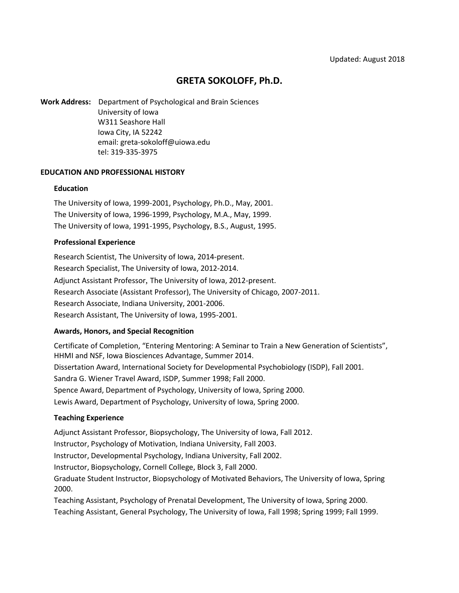# **GRETA SOKOLOFF, Ph.D.**

**Work Address:** Department of Psychological and Brain Sciences University of Iowa W311 Seashore Hall Iowa City, IA 52242 email: greta-sokoloff@uiowa.edu tel: 319-335-3975

### **EDUCATION AND PROFESSIONAL HISTORY**

#### **Education**

The University of Iowa, 1999-2001, Psychology, Ph.D., May, 2001. The University of Iowa, 1996-1999, Psychology, M.A., May, 1999. The University of Iowa, 1991-1995, Psychology, B.S., August, 1995.

### **Professional Experience**

Research Scientist, The University of Iowa, 2014-present. Research Specialist, The University of Iowa, 2012-2014. Adjunct Assistant Professor, The University of Iowa, 2012-present. Research Associate (Assistant Professor), The University of Chicago, 2007-2011. Research Associate, Indiana University, 2001-2006. Research Assistant, The University of Iowa, 1995-2001.

# **Awards, Honors, and Special Recognition**

Certificate of Completion, "Entering Mentoring: A Seminar to Train a New Generation of Scientists", HHMI and NSF, Iowa Biosciences Advantage, Summer 2014. Dissertation Award, International Society for Developmental Psychobiology (ISDP), Fall 2001. Sandra G. Wiener Travel Award, ISDP, Summer 1998; Fall 2000. Spence Award, Department of Psychology, University of Iowa, Spring 2000. Lewis Award, Department of Psychology, University of Iowa, Spring 2000.

# **Teaching Experience**

Adjunct Assistant Professor, Biopsychology, The University of Iowa, Fall 2012.

Instructor, Psychology of Motivation, Indiana University, Fall 2003.

Instructor, Developmental Psychology, Indiana University, Fall 2002.

Instructor, Biopsychology, Cornell College, Block 3, Fall 2000.

Graduate Student Instructor, Biopsychology of Motivated Behaviors, The University of Iowa, Spring 2000.

Teaching Assistant, Psychology of Prenatal Development, The University of Iowa, Spring 2000. Teaching Assistant, General Psychology, The University of Iowa, Fall 1998; Spring 1999; Fall 1999.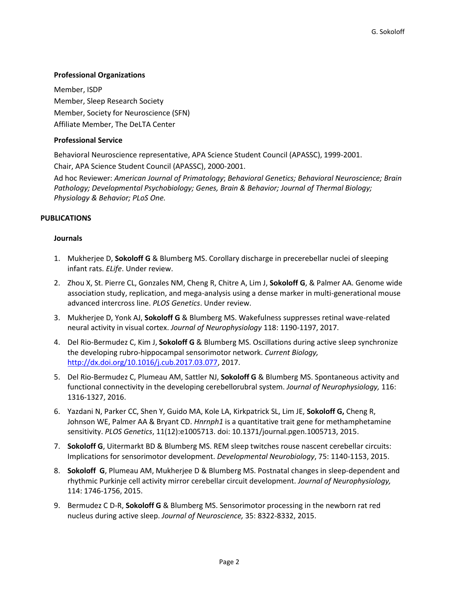# **Professional Organizations**

Member, ISDP Member, Sleep Research Society Member, Society for Neuroscience (SFN) Affiliate Member, The DeLTA Center

# **Professional Service**

Behavioral Neuroscience representative, APA Science Student Council (APASSC), 1999-2001. Chair, APA Science Student Council (APASSC), 2000-2001.

Ad hoc Reviewer: *American Journal of Primatology*; *Behavioral Genetics; Behavioral Neuroscience; Brain Pathology; Developmental Psychobiology; Genes, Brain & Behavior; Journal of Thermal Biology; Physiology & Behavior; PLoS One.*

# **PUBLICATIONS**

# **Journals**

- 1. Mukherjee D, **Sokoloff G** & Blumberg MS. Corollary discharge in precerebellar nuclei of sleeping infant rats. *ELife*. Under review.
- 2. Zhou X, St. Pierre CL, Gonzales NM, Cheng R, Chitre A, Lim J, **Sokoloff G**, & Palmer AA. Genome wide association study, replication, and mega-analysis using a dense marker in multi-generational mouse advanced intercross line. *PLOS Genetics*. Under review.
- 3. Mukherjee D, Yonk AJ, **Sokoloff G** & Blumberg MS. Wakefulness suppresses retinal wave-related neural activity in visual cortex. *Journal of Neurophysiology* 118: 1190-1197, 2017.
- 4. Del Rio-Bermudez C, Kim J, **Sokoloff G** & Blumberg MS. Oscillations during active sleep synchronize the developing rubro-hippocampal sensorimotor network. *Current Biology,* [http://dx.doi.org/10.1016/j.cub.2017.03.077,](http://dx.doi.org/10.1016/j.cub.2017.03.077) 2017.
- 5. Del Rio-Bermudez C, Plumeau AM, Sattler NJ, **Sokoloff G** & Blumberg MS. Spontaneous activity and functional connectivity in the developing cerebellorubral system. *Journal of Neurophysiology,* 116: 1316-1327, 2016.
- 6. Yazdani N, Parker CC, Shen Y, Guido MA, Kole LA, Kirkpatrick SL, Lim JE, **Sokoloff G,** Cheng R, Johnson WE, Palmer AA & Bryant CD. *Hnrnph1* is a quantitative trait gene for methamphetamine sensitivity. *PLOS Genetics*, 11(12):e1005713. doi: 10.1371/journal.pgen.1005713, 2015.
- 7. **Sokoloff G**, Uitermarkt BD & Blumberg MS. REM sleep twitches rouse nascent cerebellar circuits: Implications for sensorimotor development. *Developmental Neurobiology*, 75: 1140-1153, 2015.
- 8. **Sokoloff G**, Plumeau AM, Mukherjee D & Blumberg MS. Postnatal changes in sleep-dependent and rhythmic Purkinje cell activity mirror cerebellar circuit development. *Journal of Neurophysiology,* 114: 1746-1756, 2015.
- 9. Bermudez C D-R, **Sokoloff G** & Blumberg MS. Sensorimotor processing in the newborn rat red nucleus during active sleep. *Journal of Neuroscience,* 35: 8322-8332, 2015.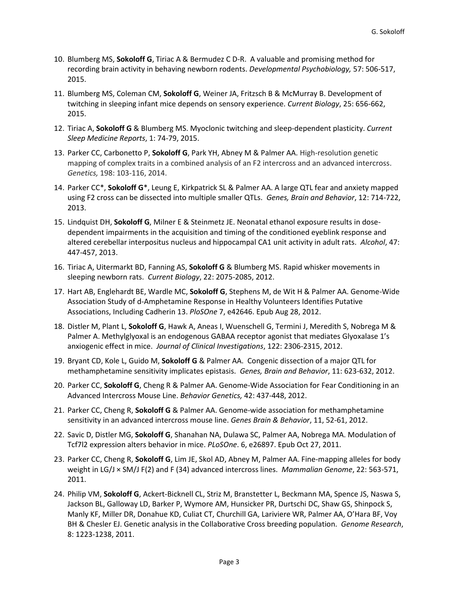- 10. Blumberg MS, **Sokoloff G**, Tiriac A & Bermudez C D-R. A valuable and promising method for recording brain activity in behaving newborn rodents. *Developmental Psychobiology,* 57: 506-517, 2015.
- 11. Blumberg MS, Coleman CM, **Sokoloff G**, Weiner JA, Fritzsch B & McMurray B. Development of twitching in sleeping infant mice depends on sensory experience. *Current Biology*, 25: 656-662, 2015.
- 12. Tiriac A, **Sokoloff G** & Blumberg MS. Myoclonic twitching and sleep-dependent plasticity. *Current Sleep Medicine Reports*, 1: 74-79, 2015.
- 13. Parker CC, Carbonetto P, **Sokoloff G**, Park YH, Abney M & Palmer AA. High-resolution genetic mapping of complex traits in a combined analysis of an F2 intercross and an advanced intercross. *Genetics,* 198: 103-116, 2014.
- 14. Parker CC\*, **Sokoloff G**\*, Leung E, Kirkpatrick SL & Palmer AA. A large QTL fear and anxiety mapped using F2 cross can be dissected into multiple smaller QTLs. *Genes, Brain and Behavior*, 12: 714-722, 2013.
- 15. Lindquist DH, **Sokoloff G**, Milner E & Steinmetz JE. Neonatal ethanol exposure results in dosedependent impairments in the acquisition and timing of the conditioned eyeblink response and altered cerebellar interpositus nucleus and hippocampal CA1 unit activity in adult rats. *Alcohol*, 47: 447-457, 2013.
- 16. Tiriac A, Uitermarkt BD, Fanning AS, **Sokoloff G** & Blumberg MS. Rapid whisker movements in sleeping newborn rats. *Current Biology*, 22: 2075-2085, 2012.
- 17. Hart AB, Englehardt BE, Wardle MC, **Sokoloff G**, Stephens M, de Wit H & Palmer AA. Genome-Wide Association Study of d-Amphetamine Response in Healthy Volunteers Identifies Putative Associations, Including Cadherin 13. *PloSOne* 7, e42646. Epub Aug 28, 2012.
- 18. Distler M, Plant L, **Sokoloff G**, Hawk A, Aneas I, Wuenschell G, Termini J, Meredith S, Nobrega M & Palmer A. Methylglyoxal is an endogenous GABAA receptor agonist that mediates Glyoxalase 1's anxiogenic effect in mice. *Journal of Clinical Investigations*, 122: 2306-2315, 2012.
- 19. Bryant CD, Kole L, Guido M, **Sokoloff G** & Palmer AA. Congenic dissection of a major QTL for methamphetamine sensitivity implicates epistasis. *Genes, Brain and Behavior*, 11: 623-632, 2012.
- 20. Parker CC, **Sokoloff G**, Cheng R & Palmer AA. Genome-Wide Association for Fear Conditioning in an Advanced Intercross Mouse Line. *Behavior Genetics,* 42: 437-448, 2012.
- 21. Parker CC, Cheng R, **Sokoloff G** & Palmer AA. Genome-wide association for methamphetamine sensitivity in an advanced intercross mouse line. *Genes Brain & Behavior*, 11, 52-61, 2012.
- 22. Savic D, Distler MG, **Sokoloff G**, Shanahan NA, Dulawa SC, Palmer AA, Nobrega MA. Modulation of Tcf7l2 expression alters behavior in mice. *PLoSOne*. 6, e26897. Epub Oct 27, 2011.
- 23. Parker CC, Cheng R, **Sokoloff G**, Lim JE, Skol AD, Abney M, Palmer AA. Fine-mapping alleles for body weight in LG/J × SM/J F(2) and F (34) advanced intercross lines. *Mammalian Genome*, 22: 563-571, 2011.
- 24. Philip VM, **Sokoloff G**, Ackert-Bicknell CL, Striz M, Branstetter L, Beckmann MA, Spence JS, Naswa S, Jackson BL, Galloway LD, Barker P, Wymore AM, Hunsicker PR, Durtschi DC, Shaw GS, Shinpock S, Manly KF, Miller DR, Donahue KD, Culiat CT, Churchill GA, Lariviere WR, Palmer AA, O'Hara BF, Voy BH & Chesler EJ. Genetic analysis in the Collaborative Cross breeding population. *Genome Research*, 8: 1223-1238, 2011.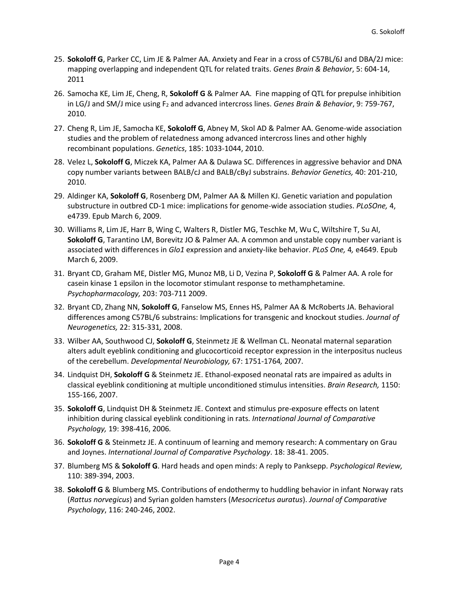- 25. **Sokoloff G**, Parker CC, Lim JE & Palmer AA. Anxiety and Fear in a cross of C57BL/6J and DBA/2J mice: mapping overlapping and independent QTL for related traits. *Genes Brain & Behavior*, 5: 604-14, 2011
- 26. Samocha KE, Lim JE, Cheng, R, **Sokoloff G** & Palmer AA. Fine mapping of QTL for prepulse inhibition in LG/J and SM/J mice using F<sub>2</sub> and advanced intercross lines. *Genes Brain & Behavior*, 9: 759-767, 2010.
- 27. Cheng R, Lim JE, Samocha KE, **Sokoloff G**, Abney M, Skol AD & Palmer AA. Genome-wide association studies and the problem of relatedness among advanced intercross lines and other highly recombinant populations. *Genetics*, 185: 1033-1044, 2010.
- 28. Velez L, **Sokoloff G**, Miczek KA, Palmer AA & Dulawa SC. Differences in aggressive behavior and DNA copy number variants between BALB/cJ and BALB/cByJ substrains. *Behavior Genetics,* 40: 201-210, 2010.
- 29. Aldinger KA, **Sokoloff G**, Rosenberg DM, Palmer AA & Millen KJ. Genetic variation and population substructure in outbred CD-1 mice: implications for genome-wide association studies. *PLoSOne,* 4, e4739. Epub March 6, 2009.
- 30. Williams R, Lim JE, Harr B, Wing C, Walters R, Distler MG, Teschke M, Wu C, Wiltshire T, Su AI, **Sokoloff G**, Tarantino LM, Borevitz JO & Palmer AA. A common and unstable copy number variant is associated with differences in *Glo1* expression and anxiety-like behavior. *PLoS One,* 4*,* e4649. Epub March 6, 2009.
- 31. Bryant CD, Graham ME, Distler MG, Munoz MB, Li D, Vezina P, **Sokoloff G** & Palmer AA. A role for casein kinase 1 epsilon in the locomotor stimulant response to methamphetamine. *Psychopharmacology,* 203: 703-711 2009.
- 32. Bryant CD, Zhang NN, **Sokoloff G**, Fanselow MS, Ennes HS, Palmer AA & McRoberts JA. Behavioral differences among C57BL/6 substrains: Implications for transgenic and knockout studies. *Journal of Neurogenetics,* 22: 315-331*,* 2008.
- 33. Wilber AA, Southwood CJ, **Sokoloff G**, Steinmetz JE & Wellman CL. Neonatal maternal separation alters adult eyeblink conditioning and glucocorticoid receptor expression in the interpositus nucleus of the cerebellum. *Developmental Neurobiology,* 67: 1751-1764*,* 2007.
- 34. Lindquist DH, **Sokoloff G** & Steinmetz JE. Ethanol-exposed neonatal rats are impaired as adults in classical eyeblink conditioning at multiple unconditioned stimulus intensities. *Brain Research,* 1150: 155-166, 2007.
- 35. **Sokoloff G**, Lindquist DH & Steinmetz JE. Context and stimulus pre-exposure effects on latent inhibition during classical eyeblink conditioning in rats. *International Journal of Comparative Psychology,* 19: 398-416, 2006*.*
- 36. **Sokoloff G** & Steinmetz JE. A continuum of learning and memory research: A commentary on Grau and Joynes. *International Journal of Comparative Psychology*. 18: 38-41. 2005.
- 37. Blumberg MS & **Sokoloff G**. Hard heads and open minds: A reply to Panksepp. *Psychological Review,* 110: 389-394, 2003.
- 38. **Sokoloff G** & Blumberg MS. Contributions of endothermy to huddling behavior in infant Norway rats (*Rattus norvegicus*) and Syrian golden hamsters (*Mesocricetus auratus*). *Journal of Comparative Psychology*, 116: 240-246, 2002.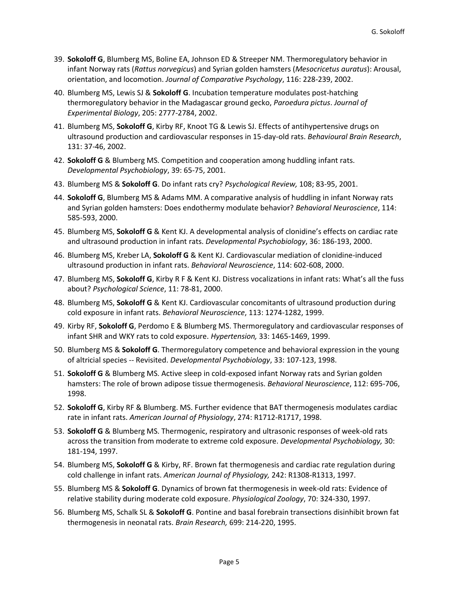- 39. **Sokoloff G**, Blumberg MS, Boline EA, Johnson ED & Streeper NM. Thermoregulatory behavior in infant Norway rats (*Rattus norvegicus*) and Syrian golden hamsters (*Mesocricetus auratus*): Arousal, orientation, and locomotion. *Journal of Comparative Psychology*, 116: 228-239, 2002.
- 40. Blumberg MS, Lewis SJ & **Sokoloff G**. Incubation temperature modulates post-hatching thermoregulatory behavior in the Madagascar ground gecko, *Paroedura pictus*. *Journal of Experimental Biology*, 205: 2777-2784, 2002.
- 41. Blumberg MS, **Sokoloff G**, Kirby RF, Knoot TG & Lewis SJ. Effects of antihypertensive drugs on ultrasound production and cardiovascular responses in 15-day-old rats. *Behavioural Brain Research*, 131: 37-46, 2002.
- 42. **Sokoloff G** & Blumberg MS. Competition and cooperation among huddling infant rats. *Developmental Psychobiology*, 39: 65-75, 2001.
- 43. Blumberg MS & **Sokoloff G**. Do infant rats cry? *Psychological Review,* 108; 83-95, 2001.
- 44. **Sokoloff G**, Blumberg MS & Adams MM. A comparative analysis of huddling in infant Norway rats and Syrian golden hamsters: Does endothermy modulate behavior? *Behavioral Neuroscience*, 114: 585-593, 2000.
- 45. Blumberg MS, **Sokoloff G** & Kent KJ. A developmental analysis of clonidine's effects on cardiac rate and ultrasound production in infant rats. *Developmental Psychobiology*, 36: 186-193, 2000.
- 46. Blumberg MS, Kreber LA, **Sokoloff G** & Kent KJ. Cardiovascular mediation of clonidine-induced ultrasound production in infant rats. *Behavioral Neuroscience*, 114: 602-608, 2000.
- 47. Blumberg MS, **Sokoloff G**, Kirby R F & Kent KJ. Distress vocalizations in infant rats: What's all the fuss about? *Psychological Science*, 11: 78-81, 2000.
- 48. Blumberg MS, **Sokoloff G** & Kent KJ. Cardiovascular concomitants of ultrasound production during cold exposure in infant rats. *Behavioral Neuroscience*, 113: 1274-1282, 1999.
- 49. Kirby RF, **Sokoloff G**, Perdomo E & Blumberg MS. Thermoregulatory and cardiovascular responses of infant SHR and WKY rats to cold exposure. *Hypertension,* 33: 1465-1469, 1999.
- 50. Blumberg MS & **Sokoloff G**. Thermoregulatory competence and behavioral expression in the young of altricial species -- Revisited. *Developmental Psychobiology*, 33: 107-123, 1998.
- 51. **Sokoloff G** & Blumberg MS. Active sleep in cold-exposed infant Norway rats and Syrian golden hamsters: The role of brown adipose tissue thermogenesis. *Behavioral Neuroscience*, 112: 695-706, 1998.
- 52. **Sokoloff G**, Kirby RF & Blumberg. MS. Further evidence that BAT thermogenesis modulates cardiac rate in infant rats. *American Journal of Physiology*, 274: R1712-R1717, 1998.
- 53. **Sokoloff G** & Blumberg MS. Thermogenic, respiratory and ultrasonic responses of week-old rats across the transition from moderate to extreme cold exposure. *Developmental Psychobiology,* 30: 181-194, 1997.
- 54. Blumberg MS, **Sokoloff G** & Kirby, RF. Brown fat thermogenesis and cardiac rate regulation during cold challenge in infant rats. *American Journal of Physiology,* 242: R1308-R1313, 1997.
- 55. Blumberg MS & **Sokoloff G**. Dynamics of brown fat thermogenesis in week-old rats: Evidence of relative stability during moderate cold exposure. *Physiological Zoology*, 70: 324-330, 1997.
- 56. Blumberg MS, Schalk SL & **Sokoloff G**. Pontine and basal forebrain transections disinhibit brown fat thermogenesis in neonatal rats. *Brain Research,* 699: 214-220, 1995.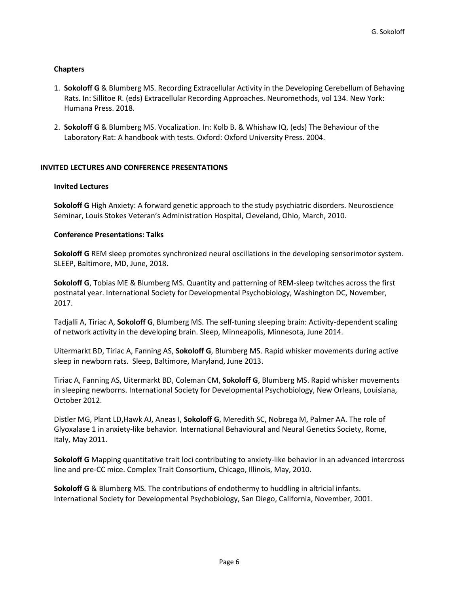# **Chapters**

- 1. **Sokoloff G** & Blumberg MS. Recording Extracellular Activity in the Developing Cerebellum of Behaving Rats. In: Sillitoe R. (eds) Extracellular Recording Approaches. Neuromethods, vol 134. New York: Humana Press. 2018.
- 2. **Sokoloff G** & Blumberg MS. Vocalization. In: Kolb B. & Whishaw IQ. (eds) The Behaviour of the Laboratory Rat: A handbook with tests. Oxford: Oxford University Press. 2004.

# **INVITED LECTURES AND CONFERENCE PRESENTATIONS**

# **Invited Lectures**

**Sokoloff G** High Anxiety: A forward genetic approach to the study psychiatric disorders. Neuroscience Seminar, Louis Stokes Veteran's Administration Hospital, Cleveland, Ohio, March, 2010.

### **Conference Presentations: Talks**

**Sokoloff G** REM sleep promotes synchronized neural oscillations in the developing sensorimotor system. SLEEP, Baltimore, MD, June, 2018.

**Sokoloff G**, Tobias ME & Blumberg MS. Quantity and patterning of REM-sleep twitches across the first postnatal year. International Society for Developmental Psychobiology, Washington DC, November, 2017.

Tadjalli A, Tiriac A, **Sokoloff G**, Blumberg MS. The self-tuning sleeping brain: Activity-dependent scaling of network activity in the developing brain. Sleep, Minneapolis, Minnesota, June 2014.

Uitermarkt BD, Tiriac A, Fanning AS, **Sokoloff G**, Blumberg MS. Rapid whisker movements during active sleep in newborn rats. Sleep, Baltimore, Maryland, June 2013.

Tiriac A, Fanning AS, Uitermarkt BD, Coleman CM, **Sokoloff G**, Blumberg MS. Rapid whisker movements in sleeping newborns. International Society for Developmental Psychobiology, New Orleans, Louisiana, October 2012.

Distler MG, Plant LD,Hawk AJ, Aneas I, **Sokoloff G**, Meredith SC, Nobrega M, Palmer AA. The role of Glyoxalase 1 in anxiety-like behavior. International Behavioural and Neural Genetics Society, Rome, Italy, May 2011.

**Sokoloff G** Mapping quantitative trait loci contributing to anxiety-like behavior in an advanced intercross line and pre-CC mice. Complex Trait Consortium, Chicago, Illinois, May, 2010.

**Sokoloff G** & Blumberg MS. The contributions of endothermy to huddling in altricial infants. International Society for Developmental Psychobiology, San Diego, California, November, 2001.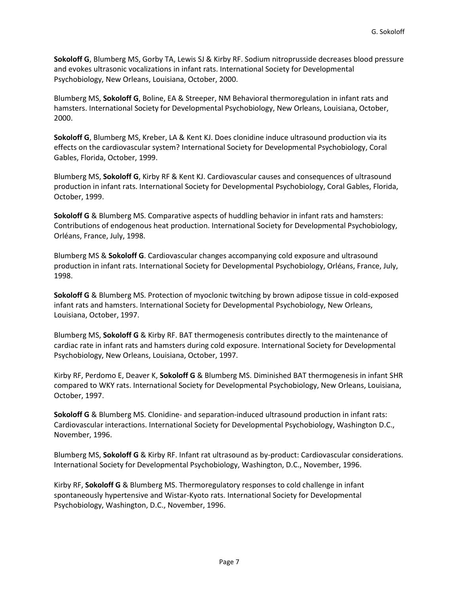**Sokoloff G**, Blumberg MS, Gorby TA, Lewis SJ & Kirby RF. Sodium nitroprusside decreases blood pressure and evokes ultrasonic vocalizations in infant rats. International Society for Developmental Psychobiology, New Orleans, Louisiana, October, 2000.

Blumberg MS, **Sokoloff G**, Boline, EA & Streeper, NM Behavioral thermoregulation in infant rats and hamsters. International Society for Developmental Psychobiology, New Orleans, Louisiana, October, 2000.

**Sokoloff G**, Blumberg MS, Kreber, LA & Kent KJ. Does clonidine induce ultrasound production via its effects on the cardiovascular system? International Society for Developmental Psychobiology, Coral Gables, Florida, October, 1999.

Blumberg MS, **Sokoloff G**, Kirby RF & Kent KJ. Cardiovascular causes and consequences of ultrasound production in infant rats. International Society for Developmental Psychobiology, Coral Gables, Florida, October, 1999.

**Sokoloff G** & Blumberg MS. Comparative aspects of huddling behavior in infant rats and hamsters: Contributions of endogenous heat production. International Society for Developmental Psychobiology, Orléans, France, July, 1998.

Blumberg MS & **Sokoloff G**. Cardiovascular changes accompanying cold exposure and ultrasound production in infant rats. International Society for Developmental Psychobiology, Orléans, France, July, 1998.

**Sokoloff G** & Blumberg MS. Protection of myoclonic twitching by brown adipose tissue in cold-exposed infant rats and hamsters. International Society for Developmental Psychobiology, New Orleans, Louisiana, October, 1997.

Blumberg MS, **Sokoloff G** & Kirby RF. BAT thermogenesis contributes directly to the maintenance of cardiac rate in infant rats and hamsters during cold exposure. International Society for Developmental Psychobiology, New Orleans, Louisiana, October, 1997.

Kirby RF, Perdomo E, Deaver K, **Sokoloff G** & Blumberg MS. Diminished BAT thermogenesis in infant SHR compared to WKY rats. International Society for Developmental Psychobiology, New Orleans, Louisiana, October, 1997.

**Sokoloff G** & Blumberg MS. Clonidine- and separation-induced ultrasound production in infant rats: Cardiovascular interactions. International Society for Developmental Psychobiology, Washington D.C., November, 1996.

Blumberg MS, **Sokoloff G** & Kirby RF. Infant rat ultrasound as by-product: Cardiovascular considerations. International Society for Developmental Psychobiology, Washington, D.C., November, 1996.

Kirby RF, **Sokoloff G** & Blumberg MS. Thermoregulatory responses to cold challenge in infant spontaneously hypertensive and Wistar-Kyoto rats. International Society for Developmental Psychobiology, Washington, D.C., November, 1996.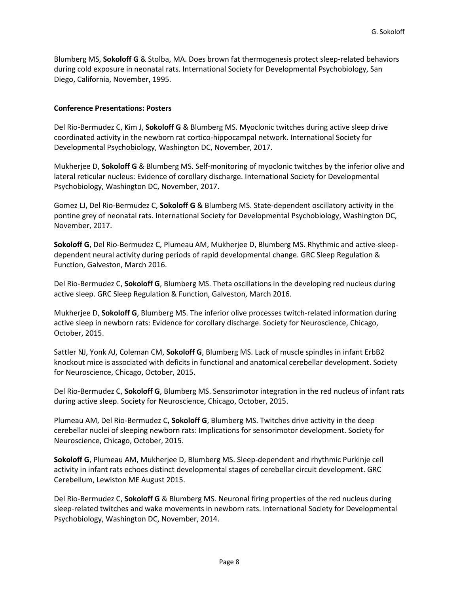Blumberg MS, **Sokoloff G** & Stolba, MA. Does brown fat thermogenesis protect sleep-related behaviors during cold exposure in neonatal rats. International Society for Developmental Psychobiology, San Diego, California, November, 1995.

# **Conference Presentations: Posters**

Del Rio-Bermudez C, Kim J, **Sokoloff G** & Blumberg MS. Myoclonic twitches during active sleep drive coordinated activity in the newborn rat cortico-hippocampal network. International Society for Developmental Psychobiology, Washington DC, November, 2017.

Mukherjee D, **Sokoloff G** & Blumberg MS. Self-monitoring of myoclonic twitches by the inferior olive and lateral reticular nucleus: Evidence of corollary discharge. International Society for Developmental Psychobiology, Washington DC, November, 2017.

Gomez LJ, Del Rio-Bermudez C, **Sokoloff G** & Blumberg MS. State-dependent oscillatory activity in the pontine grey of neonatal rats. International Society for Developmental Psychobiology, Washington DC, November, 2017.

**Sokoloff G**, Del Rio-Bermudez C, Plumeau AM, Mukherjee D, Blumberg MS. Rhythmic and active-sleepdependent neural activity during periods of rapid developmental change. GRC Sleep Regulation & Function, Galveston, March 2016.

Del Rio-Bermudez C, **Sokoloff G**, Blumberg MS. Theta oscillations in the developing red nucleus during active sleep. GRC Sleep Regulation & Function, Galveston, March 2016.

Mukherjee D, **Sokoloff G**, Blumberg MS. The inferior olive processes twitch-related information during active sleep in newborn rats: Evidence for corollary discharge. Society for Neuroscience, Chicago, October, 2015.

Sattler NJ, Yonk AJ, Coleman CM, **Sokoloff G**, Blumberg MS. Lack of muscle spindles in infant ErbB2 knockout mice is associated with deficits in functional and anatomical cerebellar development. Society for Neuroscience, Chicago, October, 2015.

Del Rio-Bermudez C, **Sokoloff G**, Blumberg MS. Sensorimotor integration in the red nucleus of infant rats during active sleep. Society for Neuroscience, Chicago, October, 2015.

Plumeau AM, Del Rio-Bermudez C, **Sokoloff G**, Blumberg MS. Twitches drive activity in the deep cerebellar nuclei of sleeping newborn rats: Implications for sensorimotor development. Society for Neuroscience, Chicago, October, 2015.

**Sokoloff G**, Plumeau AM, Mukherjee D, Blumberg MS. Sleep-dependent and rhythmic Purkinje cell activity in infant rats echoes distinct developmental stages of cerebellar circuit development. GRC Cerebellum, Lewiston ME August 2015.

Del Rio-Bermudez C, **Sokoloff G** & Blumberg MS. Neuronal firing properties of the red nucleus during sleep-related twitches and wake movements in newborn rats. International Society for Developmental Psychobiology, Washington DC, November, 2014.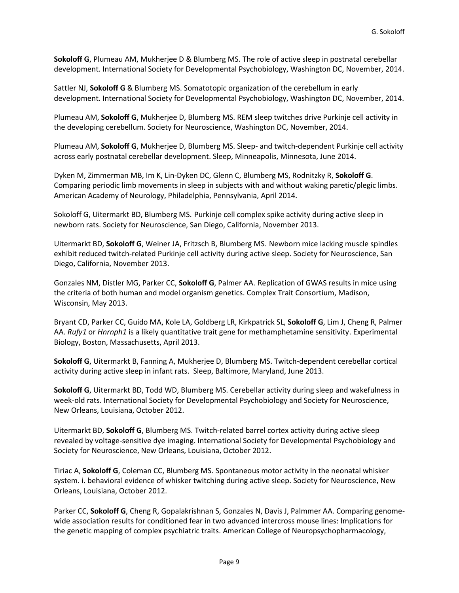**Sokoloff G**, Plumeau AM, Mukherjee D & Blumberg MS. The role of active sleep in postnatal cerebellar development. International Society for Developmental Psychobiology, Washington DC, November, 2014.

Sattler NJ, **Sokoloff G** & Blumberg MS. Somatotopic organization of the cerebellum in early development. International Society for Developmental Psychobiology, Washington DC, November, 2014.

Plumeau AM, **Sokoloff G**, Mukherjee D, Blumberg MS. REM sleep twitches drive Purkinje cell activity in the developing cerebellum. Society for Neuroscience, Washington DC, November, 2014.

Plumeau AM, **Sokoloff G**, Mukherjee D, Blumberg MS. Sleep- and twitch-dependent Purkinje cell activity across early postnatal cerebellar development. Sleep, Minneapolis, Minnesota, June 2014.

Dyken M, Zimmerman MB, Im K, Lin-Dyken DC, Glenn C, Blumberg MS, Rodnitzky R, **Sokoloff G**. Comparing periodic limb movements in sleep in subjects with and without waking paretic/plegic limbs. American Academy of Neurology, Philadelphia, Pennsylvania, April 2014.

Sokoloff G, Uitermarkt BD, Blumberg MS. Purkinje cell complex spike activity during active sleep in newborn rats. Society for Neuroscience, San Diego, California, November 2013.

Uitermarkt BD, **Sokoloff G**, Weiner JA, Fritzsch B, Blumberg MS. Newborn mice lacking muscle spindles exhibit reduced twitch-related Purkinje cell activity during active sleep. Society for Neuroscience, San Diego, California, November 2013.

Gonzales NM, Distler MG, Parker CC, **Sokoloff G**, Palmer AA. Replication of GWAS results in mice using the criteria of both human and model organism genetics. Complex Trait Consortium, Madison, Wisconsin, May 2013.

Bryant CD, Parker CC, Guido MA, Kole LA, Goldberg LR, Kirkpatrick SL, **Sokoloff G**, Lim J, Cheng R, Palmer AA. *Rufy1* or *Hnrnph1* is a likely quantitative trait gene for methamphetamine sensitivity. Experimental Biology, Boston, Massachusetts, April 2013.

**Sokoloff G**, Uitermarkt B, Fanning A, Mukherjee D, Blumberg MS. Twitch-dependent cerebellar cortical activity during active sleep in infant rats. Sleep, Baltimore, Maryland, June 2013.

**Sokoloff G**, Uitermarkt BD, Todd WD, Blumberg MS. Cerebellar activity during sleep and wakefulness in week-old rats. International Society for Developmental Psychobiology and Society for Neuroscience, New Orleans, Louisiana, October 2012.

Uitermarkt BD, **Sokoloff G**, Blumberg MS. Twitch-related barrel cortex activity during active sleep revealed by voltage-sensitive dye imaging. International Society for Developmental Psychobiology and Society for Neuroscience, New Orleans, Louisiana, October 2012.

Tiriac A, **Sokoloff G**, Coleman CC, Blumberg MS. Spontaneous motor activity in the neonatal whisker system. i. behavioral evidence of whisker twitching during active sleep. Society for Neuroscience, New Orleans, Louisiana, October 2012.

Parker CC, **Sokoloff G**, Cheng R, Gopalakrishnan S, Gonzales N, Davis J, Palmmer AA. Comparing genomewide association results for conditioned fear in two advanced intercross mouse lines: Implications for the genetic mapping of complex psychiatric traits. American College of Neuropsychopharmacology,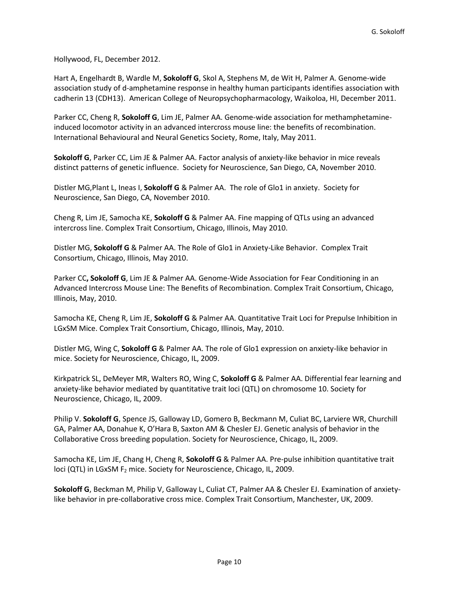Hollywood, FL, December 2012.

Hart A, Engelhardt B, Wardle M, **Sokoloff G**, Skol A, Stephens M, de Wit H, Palmer A. Genome-wide association study of d-amphetamine response in healthy human participants identifies association with cadherin 13 (CDH13). American College of Neuropsychopharmacology, Waikoloa, HI, December 2011.

Parker CC, Cheng R, **Sokoloff G**, Lim JE, Palmer AA. Genome-wide association for methamphetamineinduced locomotor activity in an advanced intercross mouse line: the benefits of recombination. International Behavioural and Neural Genetics Society, Rome, Italy, May 2011.

**Sokoloff G**, Parker CC, Lim JE & Palmer AA. Factor analysis of anxiety-like behavior in mice reveals distinct patterns of genetic influence. Society for Neuroscience, San Diego, CA, November 2010.

Distler MG,Plant L, Ineas I, **Sokoloff G** & Palmer AA. The role of Glo1 in anxiety. Society for Neuroscience, San Diego, CA, November 2010.

Cheng R, Lim JE, Samocha KE, **Sokoloff G** & Palmer AA. Fine mapping of QTLs using an advanced intercross line. Complex Trait Consortium, Chicago, Illinois, May 2010.

Distler MG, **Sokoloff G** & Palmer AA. The Role of Glo1 in Anxiety-Like Behavior. Complex Trait Consortium, Chicago, Illinois, May 2010.

Parker CC**, Sokoloff G**, Lim JE & Palmer AA. Genome-Wide Association for Fear Conditioning in an Advanced Intercross Mouse Line: The Benefits of Recombination. Complex Trait Consortium, Chicago, Illinois, May, 2010.

Samocha KE, Cheng R, Lim JE, **Sokoloff G** & Palmer AA. Quantitative Trait Loci for Prepulse Inhibition in LGxSM Mice. Complex Trait Consortium, Chicago, Illinois, May, 2010.

Distler MG, Wing C, **Sokoloff G** & Palmer AA. The role of Glo1 expression on anxiety-like behavior in mice. Society for Neuroscience, Chicago, IL, 2009.

Kirkpatrick SL, DeMeyer MR, Walters RO, Wing C, **Sokoloff G** & Palmer AA. Differential fear learning and anxiety-like behavior mediated by quantitative trait loci (QTL) on chromosome 10. Society for Neuroscience, Chicago, IL, 2009.

Philip V. **Sokoloff G**, Spence JS, Galloway LD, Gomero B, Beckmann M, Culiat BC, Larviere WR, Churchill GA, Palmer AA, Donahue K, O'Hara B, Saxton AM & Chesler EJ. Genetic analysis of behavior in the Collaborative Cross breeding population. Society for Neuroscience, Chicago, IL, 2009.

Samocha KE, Lim JE, Chang H, Cheng R, **Sokoloff G** & Palmer AA. Pre-pulse inhibition quantitative trait loci (QTL) in LGxSM F<sub>2</sub> mice. Society for Neuroscience, Chicago, IL, 2009.

**Sokoloff G**, Beckman M, Philip V, Galloway L, Culiat CT, Palmer AA & Chesler EJ. Examination of anxietylike behavior in pre-collaborative cross mice. Complex Trait Consortium, Manchester, UK, 2009.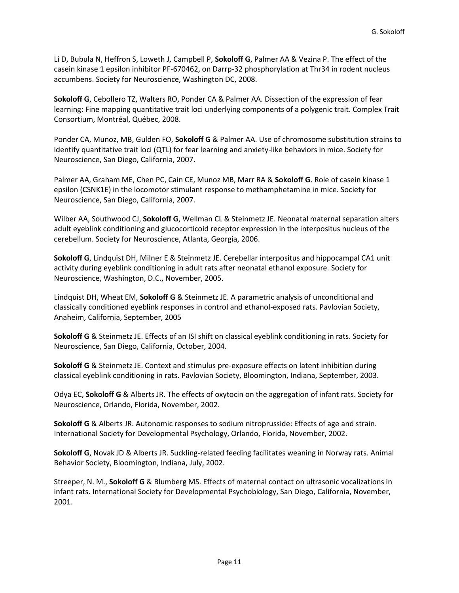Li D, Bubula N, Heffron S, Loweth J, Campbell P, **Sokoloff G**, Palmer AA & Vezina P. The effect of the casein kinase 1 epsilon inhibitor PF-670462, on Darrp-32 phosphorylation at Thr34 in rodent nucleus accumbens. Society for Neuroscience, Washington DC, 2008.

**Sokoloff G**, Cebollero TZ, Walters RO, Ponder CA & Palmer AA. Dissection of the expression of fear learning: Fine mapping quantitative trait loci underlying components of a polygenic trait. Complex Trait Consortium, Montréal, Québec, 2008.

Ponder CA, Munoz, MB, Gulden FO, **Sokoloff G** & Palmer AA. Use of chromosome substitution strains to identify quantitative trait loci (QTL) for fear learning and anxiety-like behaviors in mice. Society for Neuroscience, San Diego, California, 2007.

Palmer AA, Graham ME, Chen PC, Cain CE, Munoz MB, Marr RA & **Sokoloff G**. Role of casein kinase 1 epsilon (CSNK1E) in the locomotor stimulant response to methamphetamine in mice. Society for Neuroscience, San Diego, California, 2007.

Wilber AA, Southwood CJ, **Sokoloff G**, Wellman CL & Steinmetz JE. Neonatal maternal separation alters adult eyeblink conditioning and glucocorticoid receptor expression in the interpositus nucleus of the cerebellum. Society for Neuroscience, Atlanta, Georgia, 2006.

**Sokoloff G**, Lindquist DH, Milner E & Steinmetz JE. Cerebellar interpositus and hippocampal CA1 unit activity during eyeblink conditioning in adult rats after neonatal ethanol exposure. Society for Neuroscience, Washington, D.C., November, 2005.

Lindquist DH, Wheat EM, **Sokoloff G** & Steinmetz JE. A parametric analysis of unconditional and classically conditioned eyeblink responses in control and ethanol-exposed rats. Pavlovian Society, Anaheim, California, September, 2005

**Sokoloff G** & Steinmetz JE. Effects of an ISI shift on classical eyeblink conditioning in rats. Society for Neuroscience, San Diego, California, October, 2004.

**Sokoloff G** & Steinmetz JE. Context and stimulus pre-exposure effects on latent inhibition during classical eyeblink conditioning in rats. Pavlovian Society, Bloomington, Indiana, September, 2003.

Odya EC, **Sokoloff G** & Alberts JR. The effects of oxytocin on the aggregation of infant rats. Society for Neuroscience, Orlando, Florida, November, 2002.

**Sokoloff G** & Alberts JR. Autonomic responses to sodium nitroprusside: Effects of age and strain. International Society for Developmental Psychology, Orlando, Florida, November, 2002.

**Sokoloff G**, Novak JD & Alberts JR. Suckling-related feeding facilitates weaning in Norway rats. Animal Behavior Society, Bloomington, Indiana, July, 2002.

Streeper, N. M., **Sokoloff G** & Blumberg MS. Effects of maternal contact on ultrasonic vocalizations in infant rats. International Society for Developmental Psychobiology, San Diego, California, November, 2001.